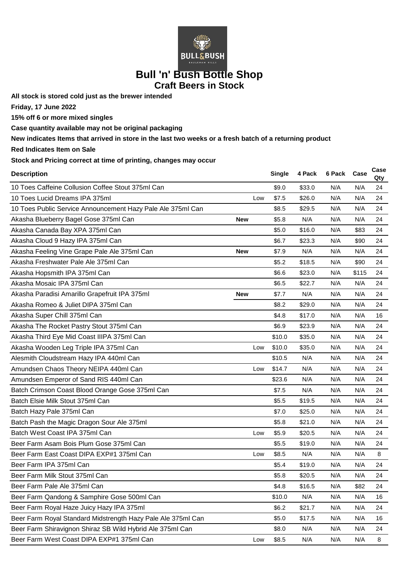

## **Bull 'n' Bush Bottle Shop Craft Beers in Stock**

**All stock is stored cold just as the brewer intended**

**Friday, 17 June 2022**

**15% off 6 or more mixed singles**

**Case quantity available may not be original packaging**

**New indicates Items that arrived in store in the last two weeks or a fresh batch of a returning product**

**Red Indicates Item on Sale**

**Stock and Pricing correct at time of printing, changes may occur**

| <b>Description</b>                                           |            | <b>Single</b> | 4 Pack | 6 Pack | Case  | Case<br>Qty |
|--------------------------------------------------------------|------------|---------------|--------|--------|-------|-------------|
| 10 Toes Caffeine Collusion Coffee Stout 375ml Can            |            | \$9.0         | \$33.0 | N/A    | N/A   | 24          |
| 10 Toes Lucid Dreams IPA 375ml                               | Low        | \$7.5         | \$26.0 | N/A    | N/A   | 24          |
| 10 Toes Public Service Announcement Hazy Pale Ale 375ml Can  |            | \$8.5         | \$29.5 | N/A    | N/A   | 24          |
| Akasha Blueberry Bagel Gose 375ml Can                        | <b>New</b> | \$5.8         | N/A    | N/A    | N/A   | 24          |
| Akasha Canada Bay XPA 375ml Can                              |            | \$5.0         | \$16.0 | N/A    | \$83  | 24          |
| Akasha Cloud 9 Hazy IPA 375ml Can                            |            | \$6.7         | \$23.3 | N/A    | \$90  | 24          |
| Akasha Feeling Vine Grape Pale Ale 375ml Can                 | <b>New</b> | \$7.9         | N/A    | N/A    | N/A   | 24          |
| Akasha Freshwater Pale Ale 375ml Can                         |            | \$5.2         | \$18.5 | N/A    | \$90  | 24          |
| Akasha Hopsmith IPA 375ml Can                                |            | \$6.6         | \$23.0 | N/A    | \$115 | 24          |
| Akasha Mosaic IPA 375ml Can                                  |            | \$6.5         | \$22.7 | N/A    | N/A   | 24          |
| Akasha Paradisi Amarillo Grapefruit IPA 375ml                | <b>New</b> | \$7.7         | N/A    | N/A    | N/A   | 24          |
| Akasha Romeo & Juliet DIPA 375ml Can                         |            | \$8.2         | \$29.0 | N/A    | N/A   | 24          |
| Akasha Super Chill 375ml Can                                 |            | \$4.8         | \$17.0 | N/A    | N/A   | 16          |
| Akasha The Rocket Pastry Stout 375ml Can                     |            | \$6.9         | \$23.9 | N/A    | N/A   | 24          |
| Akasha Third Eye Mid Coast IIIPA 375ml Can                   |            | \$10.0        | \$35.0 | N/A    | N/A   | 24          |
| Akasha Wooden Leg Triple IPA 375ml Can                       | Low        | \$10.0        | \$35.0 | N/A    | N/A   | 24          |
| Alesmith Cloudstream Hazy IPA 440ml Can                      |            | \$10.5        | N/A    | N/A    | N/A   | 24          |
| Amundsen Chaos Theory NEIPA 440ml Can                        | Low        | \$14.7        | N/A    | N/A    | N/A   | 24          |
| Amundsen Emperor of Sand RIS 440ml Can                       |            | \$23.6        | N/A    | N/A    | N/A   | 24          |
| Batch Crimson Coast Blood Orange Gose 375ml Can              |            | \$7.5         | N/A    | N/A    | N/A   | 24          |
| Batch Elsie Milk Stout 375ml Can                             |            | \$5.5         | \$19.5 | N/A    | N/A   | 24          |
| Batch Hazy Pale 375ml Can                                    |            | \$7.0         | \$25.0 | N/A    | N/A   | 24          |
| Batch Pash the Magic Dragon Sour Ale 375ml                   |            | \$5.8         | \$21.0 | N/A    | N/A   | 24          |
| Batch West Coast IPA 375ml Can                               | Low        | \$5.9         | \$20.5 | N/A    | N/A   | 24          |
| Beer Farm Asam Bois Plum Gose 375ml Can                      |            | \$5.5         | \$19.0 | N/A    | N/A   | 24          |
| Beer Farm East Coast DIPA EXP#1 375ml Can                    | Low        | \$8.5         | N/A    | N/A    | N/A   | 8           |
| Beer Farm IPA 375ml Can                                      |            | \$5.4         | \$19.0 | N/A    | N/A   | 24          |
| Beer Farm Milk Stout 375ml Can                               |            | \$5.8         | \$20.5 | N/A    | N/A   | 24          |
| Beer Farm Pale Ale 375ml Can                                 |            | \$4.8         | \$16.5 | N/A    | \$82  | 24          |
| Beer Farm Qandong & Samphire Gose 500ml Can                  |            | \$10.0        | N/A    | N/A    | N/A   | 16          |
| Beer Farm Royal Haze Juicy Hazy IPA 375ml                    |            | \$6.2\$       | \$21.7 | N/A    | N/A   | 24          |
| Beer Farm Royal Standard Midstrength Hazy Pale Ale 375ml Can |            | \$5.0         | \$17.5 | N/A    | N/A   | 16          |
| Beer Farm Shiravignon Shiraz SB Wild Hybrid Ale 375ml Can    |            | \$8.0         | N/A    | N/A    | N/A   | 24          |
| Beer Farm West Coast DIPA EXP#1 375ml Can                    | Low        | \$8.5         | N/A    | N/A    | N/A   | 8           |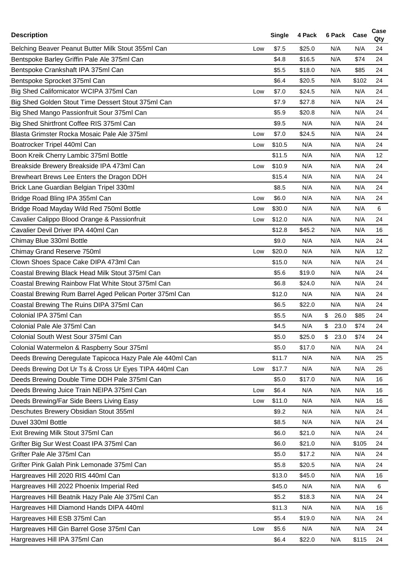| <b>Description</b>                                        |     | <b>Single</b> | 4 Pack | 6 Pack                | Case  | Case<br>Qty     |
|-----------------------------------------------------------|-----|---------------|--------|-----------------------|-------|-----------------|
| Belching Beaver Peanut Butter Milk Stout 355ml Can        | Low | \$7.5         | \$25.0 | N/A                   | N/A   | 24              |
| Bentspoke Barley Griffin Pale Ale 375ml Can               |     | \$4.8         | \$16.5 | N/A                   | \$74  | 24              |
| Bentspoke Crankshaft IPA 375ml Can                        |     | \$5.5         | \$18.0 | N/A                   | \$85  | 24              |
| Bentspoke Sprocket 375ml Can                              |     | \$6.4         | \$20.5 | N/A                   | \$102 | 24              |
| Big Shed Californicator WCIPA 375ml Can                   | Low | \$7.0         | \$24.5 | N/A                   | N/A   | 24              |
| Big Shed Golden Stout Time Dessert Stout 375ml Can        |     | \$7.9         | \$27.8 | N/A                   | N/A   | 24              |
| Big Shed Mango Passionfruit Sour 375ml Can                |     | \$5.9         | \$20.8 | N/A                   | N/A   | 24              |
| Big Shed Shirtfront Coffee RIS 375ml Can                  |     | \$9.5         | N/A    | N/A                   | N/A   | 24              |
| Blasta Grimster Rocka Mosaic Pale Ale 375ml               | Low | \$7.0         | \$24.5 | N/A                   | N/A   | 24              |
| Boatrocker Tripel 440ml Can                               | Low | \$10.5        | N/A    | N/A                   | N/A   | 24              |
| Boon Kreik Cherry Lambic 375ml Bottle                     |     | \$11.5        | N/A    | N/A                   | N/A   | 12 <sub>2</sub> |
| Breakside Brewery Breakside IPA 473ml Can                 | Low | \$10.9        | N/A    | N/A                   | N/A   | 24              |
| Brewheart Brews Lee Enters the Dragon DDH                 |     | \$15.4        | N/A    | N/A                   | N/A   | 24              |
| Brick Lane Guardian Belgian Tripel 330ml                  |     | \$8.5         | N/A    | N/A                   | N/A   | 24              |
| Bridge Road Bling IPA 355ml Can                           | Low | \$6.0         | N/A    | N/A                   | N/A   | 24              |
| Bridge Road Mayday Wild Red 750ml Bottle                  | Low | \$30.0        | N/A    | N/A                   | N/A   | 6               |
| Cavalier Calippo Blood Orange & Passionfruit              | Low | \$12.0        | N/A    | N/A                   | N/A   | 24              |
| Cavalier Devil Driver IPA 440ml Can                       |     | \$12.8        | \$45.2 | N/A                   | N/A   | 16              |
| Chimay Blue 330ml Bottle                                  |     | \$9.0         | N/A    | N/A                   | N/A   | 24              |
| Chimay Grand Reserve 750ml                                | Low | \$20.0        | N/A    | N/A                   | N/A   | 12 <sup>2</sup> |
| Clown Shoes Space Cake DIPA 473ml Can                     |     | \$15.0        | N/A    | N/A                   | N/A   | 24              |
| Coastal Brewing Black Head Milk Stout 375ml Can           |     | \$5.6         | \$19.0 | N/A                   | N/A   | 24              |
| Coastal Brewing Rainbow Flat White Stout 375ml Can        |     | \$6.8         | \$24.0 | N/A                   | N/A   | 24              |
| Coastal Brewing Rum Barrel Aged Pelican Porter 375ml Can  |     | \$12.0        | N/A    | N/A                   | N/A   | 24              |
| Coastal Brewing The Ruins DIPA 375ml Can                  |     | \$6.5         | \$22.0 | N/A                   | N/A   | 24              |
| Colonial IPA 375ml Can                                    |     | \$5.5         | N/A    | \$<br>26.0            | \$85  | 24              |
| Colonial Pale Ale 375ml Can                               |     | \$4.5         | N/A    | $\mathfrak s$<br>23.0 | \$74  | 24              |
| Colonial South West Sour 375ml Can                        |     | \$5.0         | \$25.0 | \$<br>23.0            | \$74  | 24              |
| Colonial Watermelon & Raspberry Sour 375ml                |     | \$5.0         | \$17.0 | N/A                   | N/A   | 24              |
| Deeds Brewing Deregulate Tapicoca Hazy Pale Ale 440ml Can |     | \$11.7        | N/A    | N/A                   | N/A   | 25              |
| Deeds Brewing Dot Ur Ts & Cross Ur Eyes TIPA 440ml Can    | Low | \$17.7        | N/A    | N/A                   | N/A   | 26              |
| Deeds Brewing Double Time DDH Pale 375ml Can              |     | \$5.0         | \$17.0 | N/A                   | N/A   | 16              |
| Deeds Brewing Juice Train NEIPA 375ml Can                 | Low | \$6.4         | N/A    | N/A                   | N/A   | 16              |
| Deeds Brewing/Far Side Beers Living Easy                  | Low | \$11.0        | N/A    | N/A                   | N/A   | 16              |
| Deschutes Brewery Obsidian Stout 355ml                    |     | \$9.2         | N/A    | N/A                   | N/A   | 24              |
| Duvel 330ml Bottle                                        |     | \$8.5         | N/A    | N/A                   | N/A   | 24              |
| Exit Brewing Milk Stout 375ml Can                         |     | \$6.0         | \$21.0 | N/A                   | N/A   | 24              |
| Grifter Big Sur West Coast IPA 375ml Can                  |     | \$6.0         | \$21.0 | N/A                   | \$105 | 24              |
| Grifter Pale Ale 375ml Can                                |     | \$5.0         | \$17.2 | N/A                   | N/A   | 24              |
| Grifter Pink Galah Pink Lemonade 375ml Can                |     | \$5.8         | \$20.5 | N/A                   | N/A   | 24              |
| Hargreaves Hill 2020 RIS 440ml Can                        |     | \$13.0        | \$45.0 | N/A                   | N/A   | 16              |
| Hargreaves Hill 2022 Phoenix Imperial Red                 |     | \$45.0        | N/A    | N/A                   | N/A   | 6               |
| Hargreaves Hill Beatnik Hazy Pale Ale 375ml Can           |     | \$5.2         | \$18.3 | N/A                   | N/A   | 24              |
| Hargreaves Hill Diamond Hands DIPA 440ml                  |     | \$11.3        | N/A    | N/A                   | N/A   | 16              |
| Hargreaves Hill ESB 375ml Can                             |     | \$5.4         | \$19.0 | N/A                   | N/A   | 24              |
| Hargreaves Hill Gin Barrel Gose 375ml Can                 | Low | \$5.6         | N/A    | N/A                   | N/A   | 24              |
| Hargreaves Hill IPA 375ml Can                             |     | \$6.4         | \$22.0 | N/A                   | \$115 | 24              |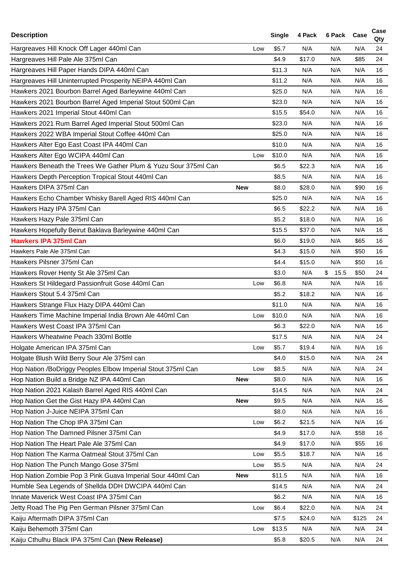| <b>Description</b>                                             |            | <b>Single</b> | 4 Pack | 6 Pack Case |       | Case<br>Qty |
|----------------------------------------------------------------|------------|---------------|--------|-------------|-------|-------------|
| Hargreaves Hill Knock Off Lager 440ml Can                      | Low        | \$5.7         | N/A    | N/A         | N/A   | 24          |
| Hargreaves Hill Pale Ale 375ml Can                             |            | \$4.9         | \$17.0 | N/A         | \$85  | 24          |
| Hargreaves Hill Paper Hands DIPA 440ml Can                     |            | \$11.3        | N/A    | N/A         | N/A   | 16          |
| Hargreaves Hill Uninterrupted Prosperity NEIPA 440ml Can       |            | \$11.2        | N/A    | N/A         | N/A   | 16          |
| Hawkers 2021 Bourbon Barrel Aged Barleywine 440ml Can          |            | \$25.0        | N/A    | N/A         | N/A   | 16          |
| Hawkers 2021 Bourbon Barrel Aged Imperial Stout 500ml Can      |            | \$23.0        | N/A    | N/A         | N/A   | 16          |
| Hawkers 2021 Imperial Stout 440ml Can                          |            | \$15.5        | \$54.0 | N/A         | N/A   | 16          |
| Hawkers 2021 Rum Barrel Aged Imperial Stout 500ml Can          |            | \$23.0        | N/A    | N/A         | N/A   | 16          |
| Hawkers 2022 WBA Imperial Stout Coffee 440ml Can               |            | \$25.0        | N/A    | N/A         | N/A   | 16          |
| Hawkers Alter Ego East Coast IPA 440ml Can                     |            | \$10.0        | N/A    | N/A         | N/A   | 16          |
| Hawkers Alter Ego WCIPA 440ml Can                              | Low        | \$10.0        | N/A    | N/A         | N/A   | 16          |
| Hawkers Beneath the Trees We Gather Plum & Yuzu Sour 375ml Can |            | \$6.5         | \$22.3 | N/A         | N/A   | 16          |
| Hawkers Depth Perception Tropical Stout 440ml Can              |            | \$8.5         | N/A    | N/A         | N/A   | 16          |
| Hawkers DIPA 375ml Can                                         | <b>New</b> | \$8.0         | \$28.0 | N/A         | \$90  | 16          |
| Hawkers Echo Chamber Whisky Barell Aged RIS 440ml Can          |            | \$25.0        | N/A    | N/A         | N/A   | 16          |
| Hawkers Hazy IPA 375ml Can                                     |            | \$6.5         | \$22.2 | N/A         | N/A   | 16          |
| Hawkers Hazy Pale 375ml Can                                    |            | \$5.2         | \$18.0 | N/A         | N/A   | 16          |
| Hawkers Hopefully Beirut Baklava Barleywine 440ml Can          |            | \$15.5        | \$37.0 | N/A         | N/A   | 16          |
| <b>Hawkers IPA 375ml Can</b>                                   |            | \$6.0         | \$19.0 | N/A         | \$65  | 16          |
| Hawkers Pale Ale 375ml Can                                     |            | \$4.3         | \$15.0 | N/A         | \$50  | 16          |
| Hawkers Pilsner 375ml Can                                      |            | \$4.4         | \$15.0 | N/A         | \$50  | 16          |
| Hawkers Rover Henty St Ale 375ml Can                           |            | \$3.0         | N/A    | \$15.5      | \$50  | 24          |
| Hawkers St Hildegard Passionfruit Gose 440ml Can               | Low        | \$6.8         | N/A    | N/A         | N/A   | 16          |
| Hawkers Stout 5.4 375ml Can                                    |            | \$5.2         | \$18.2 | N/A         | N/A   | 16          |
| Hawkers Strange Flux Hazy DIPA 440ml Can                       |            | \$11.0        | N/A    | N/A         | N/A   | 16          |
| Hawkers Time Machine Imperial India Brown Ale 440ml Can        | Low        | \$10.0        | N/A    | N/A         | N/A   | 16          |
| Hawkers West Coast IPA 375ml Can                               |            | \$6.3         | \$22.0 | N/A         | N/A   | 16          |
| Hawkers Wheatwine Peach 330ml Bottle                           |            | \$17.5        | N/A    | N/A         | N/A   | 24          |
| Holgate American IPA 375ml Can                                 | Low        | \$5.7         | \$19.4 | N/A         | N/A   | 16          |
| Holgate Blush Wild Berry Sour Ale 375ml can                    |            | \$4.0         | \$15.0 | N/A         | N/A   | 24          |
| Hop Nation /BoDriggy Peoples Elbow Imperial Stout 375ml Can    | Low        | \$8.5         | N/A    | N/A         | N/A   | 24          |
| Hop Nation Build a Bridge NZ IPA 440ml Can                     | <b>New</b> | \$8.0         | N/A    | N/A         | N/A   | 16          |
| Hop Nation 2021 Kalash Barrel Aged RIS 440ml Can               |            | \$14.5        | N/A    | N/A         | N/A   | 24          |
| Hop Nation Get the Gist Hazy IPA 440ml Can                     | <b>New</b> | \$9.5         | N/A    | N/A         | N/A   | 16          |
| Hop Nation J-Juice NEIPA 375ml Can                             |            | \$8.0         | N/A    | N/A         | N/A   | 16          |
| Hop Nation The Chop IPA 375ml Can                              | Low        | \$6.2         | \$21.5 | N/A         | N/A   | 16          |
| Hop Nation The Damned Pilsner 375ml Can                        |            | \$4.9         | \$17.0 | N/A         | \$58  | 16          |
| Hop Nation The Heart Pale Ale 375ml Can                        |            | \$4.9         | \$17.0 | N/A         | \$55  | 16          |
| Hop Nation The Karma Oatmeal Stout 375ml Can                   | Low        | \$5.5         | \$18.7 | N/A         | N/A   | 16          |
| Hop Nation The Punch Mango Gose 375ml                          | Low        | \$5.5         | N/A    | N/A         | N/A   | 24          |
| Hop Nation Zombie Pop 3 Pink Guava Imperial Sour 440ml Can     | <b>New</b> | \$11.5        | N/A    | N/A         | N/A   | 16          |
| Humble Sea Legends of Shellda DDH DWCIPA 440ml Can             |            | \$14.5        | N/A    | N/A         | N/A   | 24          |
| Innate Maverick West Coast IPA 375ml Can                       |            | \$6.2         | N/A    | N/A         | N/A   | 16          |
| Jetty Road The Pig Pen German Pilsner 375ml Can                | Low        | \$6.4         | \$22.0 | N/A         | N/A   | 24          |
| Kaiju Aftermath DIPA 375ml Can                                 |            | \$7.5         | \$24.0 | N/A         | \$125 | 24          |
| Kaiju Behemoth 375ml Can                                       | Low        | \$13.5        | N/A    | N/A         | N/A   | 24          |
| Kaiju Cthulhu Black IPA 375ml Can (New Release)                |            | \$5.8         | \$20.5 | N/A         | N/A   | 24          |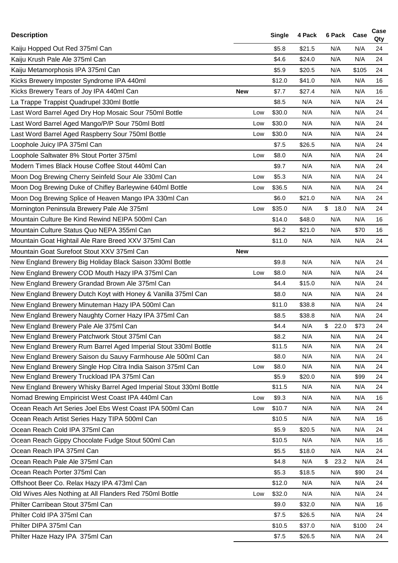| <b>Description</b>                                                 |            | <b>Single</b> | 4 Pack | 6 Pack | Case  | Case<br>Qty |
|--------------------------------------------------------------------|------------|---------------|--------|--------|-------|-------------|
| Kaiju Hopped Out Red 375ml Can                                     |            | \$5.8         | \$21.5 | N/A    | N/A   | 24          |
| Kaiju Krush Pale Ale 375ml Can                                     |            | \$4.6         | \$24.0 | N/A    | N/A   | 24          |
| Kaiju Metamorphosis IPA 375ml Can                                  |            | \$5.9         | \$20.5 | N/A    | \$105 | 24          |
| Kicks Brewery Imposter Syndrome IPA 440ml                          |            | \$12.0        | \$41.0 | N/A    | N/A   | 16          |
| Kicks Brewery Tears of Joy IPA 440ml Can                           | <b>New</b> | \$7.7         | \$27.4 | N/A    | N/A   | 16          |
| La Trappe Trappist Quadrupel 330ml Bottle                          |            | \$8.5         | N/A    | N/A    | N/A   | 24          |
| Last Word Barrel Aged Dry Hop Mosaic Sour 750ml Bottle             | Low        | \$30.0        | N/A    | N/A    | N/A   | 24          |
| Last Word Barrel Aged Mango/P/P Sour 750ml Bottl                   | Low        | \$30.0        | N/A    | N/A    | N/A   | 24          |
| Last Word Barrel Aged Raspberry Sour 750ml Bottle                  | Low        | \$30.0        | N/A    | N/A    | N/A   | 24          |
| Loophole Juicy IPA 375ml Can                                       |            | \$7.5         | \$26.5 | N/A    | N/A   | 24          |
| Loophole Saltwater 8% Stout Porter 375ml                           | Low        | \$8.0         | N/A    | N/A    | N/A   | 24          |
| Modern Times Black House Coffee Stout 440ml Can                    |            | \$9.7         | N/A    | N/A    | N/A   | 24          |
| Moon Dog Brewing Cherry Seinfeld Sour Ale 330ml Can                | Low        | \$5.3         | N/A    | N/A    | N/A   | 24          |
| Moon Dog Brewing Duke of Chifley Barleywine 640ml Bottle           | Low        | \$36.5        | N/A    | N/A    | N/A   | 24          |
| Moon Dog Brewing Splice of Heaven Mango IPA 330ml Can              |            | \$6.0         | \$21.0 | N/A    | N/A   | 24          |
| Mornington Peninsula Brewery Pale Ale 375ml                        | Low        | \$35.0        | N/A    | \$18.0 | N/A   | 24          |
| Mountain Culture Be Kind Rewind NEIPA 500ml Can                    |            | \$14.0        | \$48.0 | N/A    | N/A   | 16          |
| Mountain Culture Status Quo NEPA 355ml Can                         |            | \$6.2         | \$21.0 | N/A    | \$70  | 16          |
| Mountain Goat Hightail Ale Rare Breed XXV 375ml Can                |            | \$11.0        | N/A    | N/A    | N/A   | 24          |
| Mountain Goat Surefoot Stout XXV 375ml Can                         | <b>New</b> |               |        |        |       |             |
| New England Brewery Big Holiday Black Saison 330ml Bottle          |            | \$9.8         | N/A    | N/A    | N/A   | 24          |
| New England Brewery COD Mouth Hazy IPA 375ml Can                   | Low        | \$8.0         | N/A    | N/A    | N/A   | 24          |
| New England Brewery Grandad Brown Ale 375ml Can                    |            | \$4.4         | \$15.0 | N/A    | N/A   | 24          |
| New England Brewery Dutch Koyt with Honey & Vanilla 375ml Can      |            | \$8.0         | N/A    | N/A    | N/A   | 24          |
| New England Brewery Minuteman Hazy IPA 500ml Can                   |            | \$11.0        | \$38.8 | N/A    | N/A   | 24          |
| New England Brewery Naughty Corner Hazy IPA 375ml Can              |            | \$8.5         | \$38.8 | N/A    | N/A   | 24          |
| New England Brewery Pale Ale 375ml Can                             |            | \$4.4         | N/A    | \$22.0 | \$73  | 24          |
| New England Brewery Patchwork Stout 375ml Can                      |            | \$8.2         | N/A    | N/A    | N/A   | 24          |
| New England Brewery Rum Barrel Aged Imperial Stout 330ml Bottle    |            | \$11.5        | N/A    | N/A    | N/A   | 24          |
| New England Brewery Saison du Sauvy Farmhouse Ale 500ml Can        |            | \$8.0         | N/A    | N/A    | N/A   | 24          |
| New England Brewery Single Hop Citra India Saison 375ml Can        | Low        | \$8.0         | N/A    | N/A    | N/A   | 24          |
| New England Brewery Truckload IPA 375ml Can                        |            | \$5.9         | \$20.0 | N/A    | \$99  | 24          |
| New England Brewery Whisky Barrel Aged Imperial Stout 330ml Bottle |            | \$11.5        | N/A    | N/A    | N/A   | 24          |
| Nomad Brewing Empiricist West Coast IPA 440ml Can                  | Low        | \$9.3         | N/A    | N/A    | N/A   | 16          |
| Ocean Reach Art Series Joel Ebs West Coast IPA 500ml Can           | Low        | \$10.7        | N/A    | N/A    | N/A   | 24          |
| Ocean Reach Artist Series Hazy TIPA 500ml Can                      |            | \$10.5        | N/A    | N/A    | N/A   | 16          |
| Ocean Reach Cold IPA 375ml Can                                     |            | \$5.9         | \$20.5 | N/A    | N/A   | 24          |
| Ocean Reach Gippy Chocolate Fudge Stout 500ml Can                  |            | \$10.5        | N/A    | N/A    | N/A   | 16          |
| Ocean Reach IPA 375ml Can                                          |            | \$5.5         | \$18.0 | N/A    | N/A   | 24          |
| Ocean Reach Pale Ale 375ml Can                                     |            | \$4.8         | N/A    | \$23.2 | N/A   | 24          |
| Ocean Reach Porter 375ml Can                                       |            | \$5.3         | \$18.5 | N/A    | \$90  | 24          |
| Offshoot Beer Co. Relax Hazy IPA 473ml Can                         |            | \$12.0        | N/A    | N/A    | N/A   | 24          |
| Old Wives Ales Nothing at All Flanders Red 750ml Bottle            | Low        | \$32.0        | N/A    | N/A    | N/A   | 24          |
| Philter Carribean Stout 375ml Can                                  |            | \$9.0         | \$32.0 | N/A    | N/A   | 16          |
| Philter Cold IPA 375ml Can                                         |            | \$7.5         | \$26.5 | N/A    | N/A   | 24          |
| Philter DIPA 375ml Can                                             |            | \$10.5        | \$37.0 | N/A    | \$100 | 24          |
| Philter Haze Hazy IPA 375ml Can                                    |            | \$7.5         | \$26.5 | N/A    | N/A   | 24          |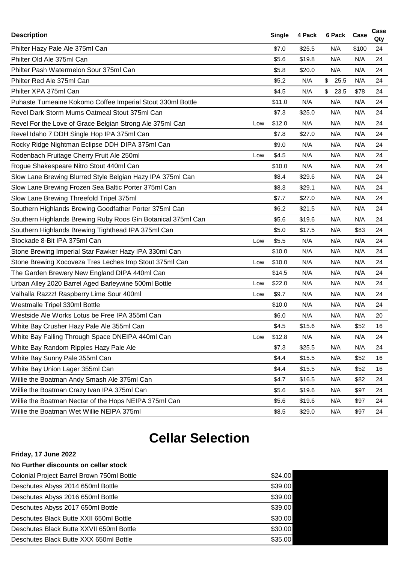| <b>Description</b>                                              | Single | 4 Pack | 6 Pack Case            |       | Case<br>Qty |
|-----------------------------------------------------------------|--------|--------|------------------------|-------|-------------|
| Philter Hazy Pale Ale 375ml Can                                 | \$7.0  | \$25.5 | N/A                    | \$100 | 24          |
| Philter Old Ale 375ml Can                                       | \$5.6  | \$19.8 | N/A                    | N/A   | 24          |
| Philter Pash Watermelon Sour 375ml Can                          | \$5.8  | \$20.0 | N/A                    | N/A   | 24          |
| Philter Red Ale 375ml Can                                       | \$5.2  | N/A    | \$<br>25.5             | N/A   | 24          |
| Philter XPA 375ml Can                                           | \$4.5  | N/A    | $\mathfrak{S}$<br>23.5 | \$78  | 24          |
| Puhaste Tumeaine Kokomo Coffee Imperial Stout 330ml Bottle      | \$11.0 | N/A    | N/A                    | N/A   | 24          |
| Revel Dark Storm Mums Oatmeal Stout 375ml Can                   | \$7.3  | \$25.0 | N/A                    | N/A   | 24          |
| Revel For the Love of Grace Belgian Strong Ale 375ml Can<br>Low | \$12.0 | N/A    | N/A                    | N/A   | 24          |
| Revel Idaho 7 DDH Single Hop IPA 375ml Can                      | \$7.8  | \$27.0 | N/A                    | N/A   | 24          |
| Rocky Ridge Nightman Eclipse DDH DIPA 375ml Can                 | \$9.0  | N/A    | N/A                    | N/A   | 24          |
| Rodenbach Fruitage Cherry Fruit Ale 250ml<br>Low                | \$4.5  | N/A    | N/A                    | N/A   | 24          |
| Rogue Shakespeare Nitro Stout 440ml Can                         | \$10.0 | N/A    | N/A                    | N/A   | 24          |
| Slow Lane Brewing Blurred Style Belgian Hazy IPA 375ml Can      | \$8.4  | \$29.6 | N/A                    | N/A   | 24          |
| Slow Lane Brewing Frozen Sea Baltic Porter 375ml Can            | \$8.3  | \$29.1 | N/A                    | N/A   | 24          |
| Slow Lane Brewing Threefold Tripel 375ml                        | \$7.7  | \$27.0 | N/A                    | N/A   | 24          |
| Southern Highlands Brewing Goodfather Porter 375ml Can          | \$6.2  | \$21.5 | N/A                    | N/A   | 24          |
| Southern Highlands Brewing Ruby Roos Gin Botanical 375ml Can    | \$5.6  | \$19.6 | N/A                    | N/A   | 24          |
| Southern Highlands Brewing Tighthead IPA 375ml Can              | \$5.0  | \$17.5 | N/A                    | \$83  | 24          |
| Stockade 8-Bit IPA 375ml Can<br>Low                             | \$5.5  | N/A    | N/A                    | N/A   | 24          |
| Stone Brewing Imperial Star Fawker Hazy IPA 330ml Can           | \$10.0 | N/A    | N/A                    | N/A   | 24          |
| Stone Brewing Xocoveza Tres Leches Imp Stout 375ml Can<br>Low   | \$10.0 | N/A    | N/A                    | N/A   | 24          |
| The Garden Brewery New England DIPA 440ml Can                   | \$14.5 | N/A    | N/A                    | N/A   | 24          |
| Urban Alley 2020 Barrel Aged Barleywine 500ml Bottle<br>Low     | \$22.0 | N/A    | N/A                    | N/A   | 24          |
| Valhalla Razzz! Raspberry Lime Sour 400ml<br>Low                | \$9.7  | N/A    | N/A                    | N/A   | 24          |
| Westmalle Tripel 330ml Bottle                                   | \$10.0 | N/A    | N/A                    | N/A   | 24          |
| Westside Ale Works Lotus be Free IPA 355ml Can                  | \$6.0  | N/A    | N/A                    | N/A   | 20          |
| White Bay Crusher Hazy Pale Ale 355ml Can                       | \$4.5  | \$15.6 | N/A                    | \$52  | 16          |
| White Bay Falling Through Space DNEIPA 440ml Can<br>Low         | \$12.8 | N/A    | N/A                    | N/A   | 24          |
| White Bay Random Ripples Hazy Pale Ale                          | \$7.3  | \$25.5 | N/A                    | N/A   | 24          |
| White Bay Sunny Pale 355ml Can                                  | \$4.4  | \$15.5 | N/A                    | \$52  | 16          |
| White Bay Union Lager 355ml Can                                 | \$4.4  | \$15.5 | N/A                    | \$52  | 16          |
| Willie the Boatman Andy Smash Ale 375ml Can                     | \$4.7  | \$16.5 | N/A                    | \$82  | 24          |
| Willie the Boatman Crazy Ivan IPA 375ml Can                     | \$5.6  | \$19.6 | N/A                    | \$97  | 24          |
| Willie the Boatman Nectar of the Hops NEIPA 375ml Can           | \$5.6  | \$19.6 | N/A                    | \$97  | 24          |
| Willie the Boatman Wet Willie NEIPA 375ml                       | \$8.5  | \$29.0 | N/A                    | \$97  | 24          |

## **Cellar Selection**

## **Friday, 17 June 2022**

## **No Further discounts on cellar stock**

| Colonial Project Barrel Brown 750ml Bottle | \$24.00 |
|--------------------------------------------|---------|
| Deschutes Abyss 2014 650ml Bottle          | \$39.00 |
| Deschutes Abyss 2016 650ml Bottle          | \$39.00 |
| Deschutes Abyss 2017 650ml Bottle          | \$39.00 |
| Deschutes Black Butte XXII 650ml Bottle    | \$30.00 |
| Deschutes Black Butte XXVII 650ml Bottle   | \$30.00 |
| Deschutes Black Butte XXX 650ml Bottle     | \$35.00 |